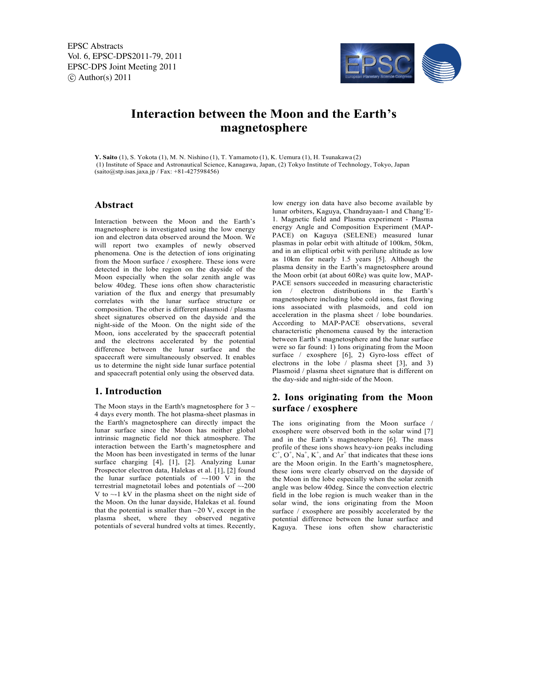EPSC Abstracts Vol. 6, EPSC-DPS2011-79, 2011 EPSC-DPS Joint Meeting 2011  $\circ$  Author(s) 2011



# **Interaction between the Moon and the Earth's magnetosphere**

**Y. Saito** (1), S. Yokota (1), M. N. Nishino (1), T. Yamamoto (1), K. Uemura (1), H. Tsunakawa (2) (1) Institute of Space and Astronautical Science, Kanagawa, Japan, (2) Tokyo Institute of Technology, Tokyo, Japan (saito@stp.isas.jaxa.jp / Fax: +81-427598456)

#### **Abstract**

Interaction between the Moon and the Earth's magnetosphere is investigated using the low energy ion and electron data observed around the Moon. We will report two examples of newly observed phenomena. One is the detection of ions originating from the Moon surface / exosphere. These ions were detected in the lobe region on the dayside of the Moon especially when the solar zenith angle was below 40deg. These ions often show characteristic variation of the flux and energy that presumably correlates with the lunar surface structure or composition. The other is different plasmoid / plasma sheet signatures observed on the dayside and the night-side of the Moon. On the night side of the Moon, ions accelerated by the spacecraft potential and the electrons accelerated by the potential difference between the lunar surface and the spacecraft were simultaneously observed. It enables us to determine the night side lunar surface potential and spacecraft potential only using the observed data.

#### **1. Introduction**

The Moon stays in the Earth's magnetosphere for  $3 \sim$ 4 days every month. The hot plasma-sheet plasmas in the Earth's magnetosphere can directly impact the lunar surface since the Moon has neither global intrinsic magnetic field nor thick atmosphere. The interaction between the Earth's magnetosphere and the Moon has been investigated in terms of the lunar surface charging [4], [1], [2]. Analyzing Lunar Prospector electron data, Halekas et al. [1], [2] found the lunar surface potentials of  $\sim$ -100 V in the terrestrial magnetotail lobes and potentials of ~-200 V to ~-1 kV in the plasma sheet on the night side of the Moon. On the lunar dayside, Halekas et al. found that the potential is smaller than  $\sim$ 20 V, except in the plasma sheet, where they observed negative potentials of several hundred volts at times. Recently, low energy ion data have also become available by lunar orbiters, Kaguya, Chandrayaan-1 and Chang'E-1. Magnetic field and Plasma experiment - Plasma energy Angle and Composition Experiment (MAP-PACE) on Kaguya (SELENE) measured lunar plasmas in polar orbit with altitude of 100km, 50km, and in an elliptical orbit with perilune altitude as low as 10km for nearly 1.5 years [5]. Although the plasma density in the Earth's magnetosphere around the Moon orbit (at about 60Re) was quite low, MAP-PACE sensors succeeded in measuring characteristic ion / electron distributions in the Earth's magnetosphere including lobe cold ions, fast flowing ions associated with plasmoids, and cold ion acceleration in the plasma sheet / lobe boundaries. According to MAP-PACE observations, several characteristic phenomena caused by the interaction between Earth's magnetosphere and the lunar surface were so far found: 1) Ions originating from the Moon surface / exosphere [6], 2) Gyro-loss effect of electrons in the lobe / plasma sheet [3], and 3) Plasmoid / plasma sheet signature that is different on the day-side and night-side of the Moon.

## **2. Ions originating from the Moon surface / exosphere**

The ions originating from the Moon surface exosphere were observed both in the solar wind [7] and in the Earth's magnetosphere [6]. The mass profile of these ions shows heavy-ion peaks including  $C^+$ ,  $O^+$ ,  $Na^+$ ,  $K^+$ , and  $Ar^+$  that indicates that these ions are the Moon origin. In the Earth's magnetosphere, these ions were clearly observed on the dayside of the Moon in the lobe especially when the solar zenith angle was below 40deg. Since the convection electric field in the lobe region is much weaker than in the solar wind, the ions originating from the Moon surface / exosphere are possibly accelerated by the potential difference between the lunar surface and Kaguya. These ions often show characteristic